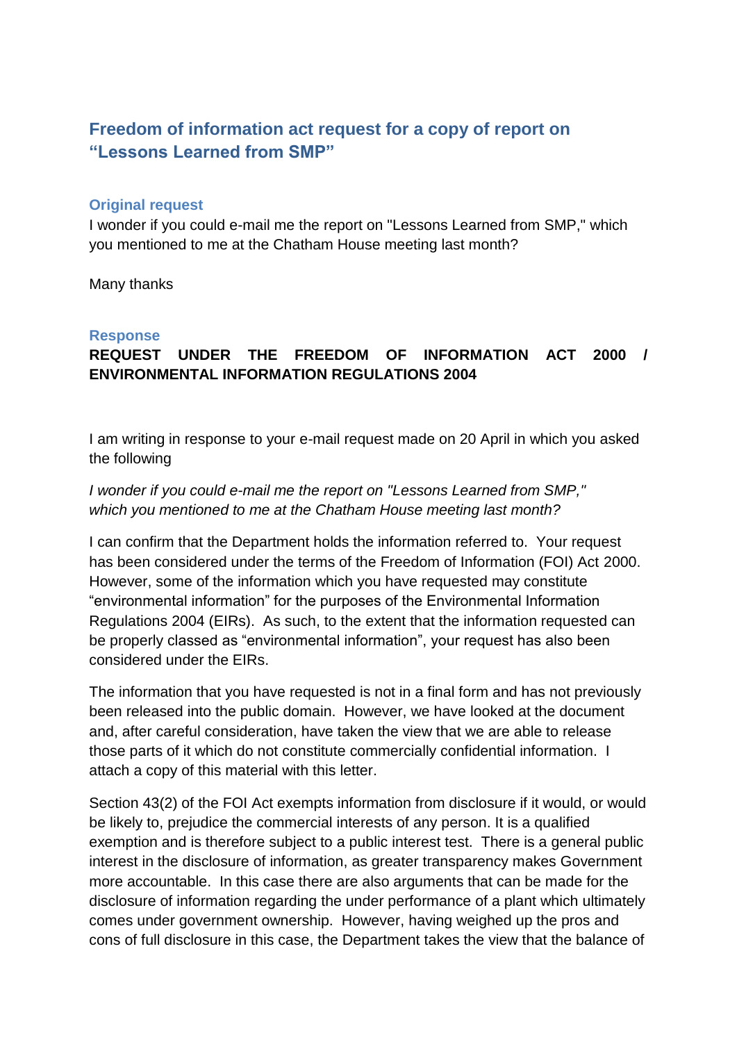# **Freedom of information act request for a copy of report on "Lessons Learned from SMP"**

#### **Original request**

I wonder if you could e-mail me the report on "Lessons Learned from SMP," which you mentioned to me at the Chatham House meeting last month?

Many thanks

#### **Response**

# **REQUEST UNDER THE FREEDOM OF INFORMATION ACT 2000 / ENVIRONMENTAL INFORMATION REGULATIONS 2004**

I am writing in response to your e-mail request made on 20 April in which you asked the following

*I wonder if you could e-mail me the report on "Lessons Learned from SMP," which you mentioned to me at the Chatham House meeting last month?*

I can confirm that the Department holds the information referred to. Your request has been considered under the terms of the Freedom of Information (FOI) Act 2000. However, some of the information which you have requested may constitute "environmental information" for the purposes of the Environmental Information Regulations 2004 (EIRs). As such, to the extent that the information requested can be properly classed as "environmental information", your request has also been considered under the EIRs.

The information that you have requested is not in a final form and has not previously been released into the public domain. However, we have looked at the document and, after careful consideration, have taken the view that we are able to release those parts of it which do not constitute commercially confidential information. I attach a copy of this material with this letter.

Section 43(2) of the FOI Act exempts information from disclosure if it would, or would be likely to, prejudice the commercial interests of any person. It is a qualified exemption and is therefore subject to a public interest test. There is a general public interest in the disclosure of information, as greater transparency makes Government more accountable. In this case there are also arguments that can be made for the disclosure of information regarding the under performance of a plant which ultimately comes under government ownership. However, having weighed up the pros and cons of full disclosure in this case, the Department takes the view that the balance of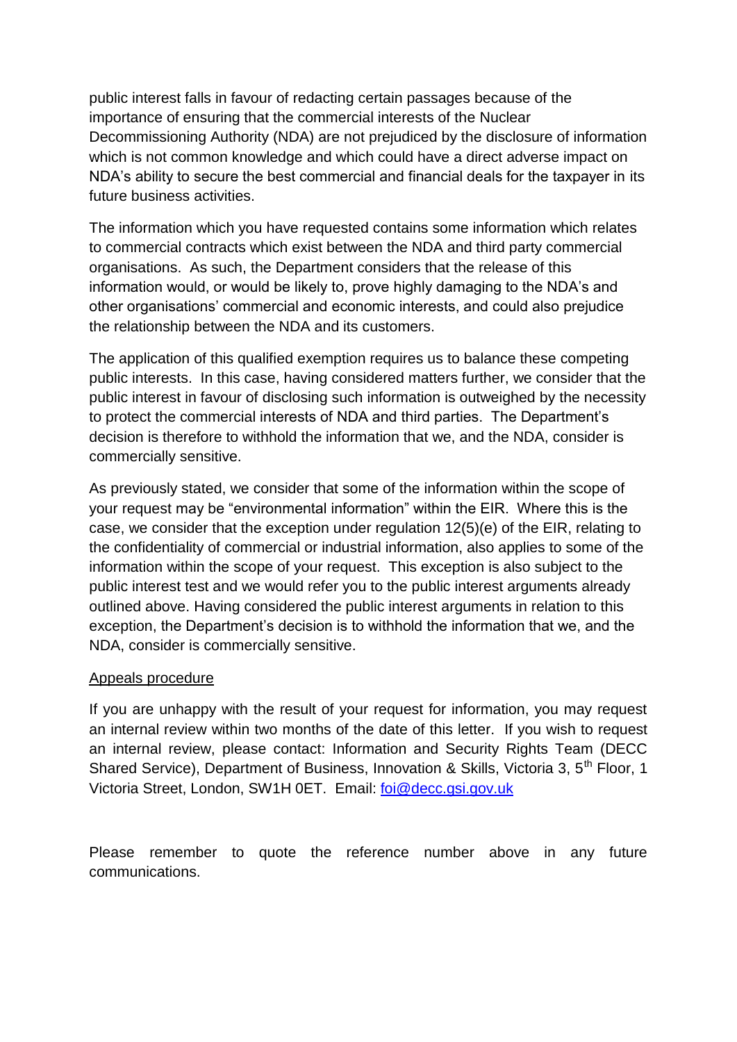public interest falls in favour of redacting certain passages because of the importance of ensuring that the commercial interests of the Nuclear Decommissioning Authority (NDA) are not prejudiced by the disclosure of information which is not common knowledge and which could have a direct adverse impact on NDA's ability to secure the best commercial and financial deals for the taxpayer in its future business activities.

The information which you have requested contains some information which relates to commercial contracts which exist between the NDA and third party commercial organisations. As such, the Department considers that the release of this information would, or would be likely to, prove highly damaging to the NDA's and other organisations' commercial and economic interests, and could also prejudice the relationship between the NDA and its customers.

The application of this qualified exemption requires us to balance these competing public interests. In this case, having considered matters further, we consider that the public interest in favour of disclosing such information is outweighed by the necessity to protect the commercial interests of NDA and third parties. The Department's decision is therefore to withhold the information that we, and the NDA, consider is commercially sensitive.

As previously stated, we consider that some of the information within the scope of your request may be "environmental information" within the EIR. Where this is the case, we consider that the exception under regulation 12(5)(e) of the EIR, relating to the confidentiality of commercial or industrial information, also applies to some of the information within the scope of your request. This exception is also subject to the public interest test and we would refer you to the public interest arguments already outlined above. Having considered the public interest arguments in relation to this exception, the Department's decision is to withhold the information that we, and the NDA, consider is commercially sensitive.

#### Appeals procedure

If you are unhappy with the result of your request for information, you may request an internal review within two months of the date of this letter. If you wish to request an internal review, please contact: Information and Security Rights Team (DECC Shared Service), Department of Business, Innovation & Skills, Victoria 3, 5<sup>th</sup> Floor, 1 Victoria Street, London, SW1H 0ET. Email: [foi@decc.gsi.gov.uk](mailto:foi@decc.gsi.gov.uk)

Please remember to quote the reference number above in any future communications.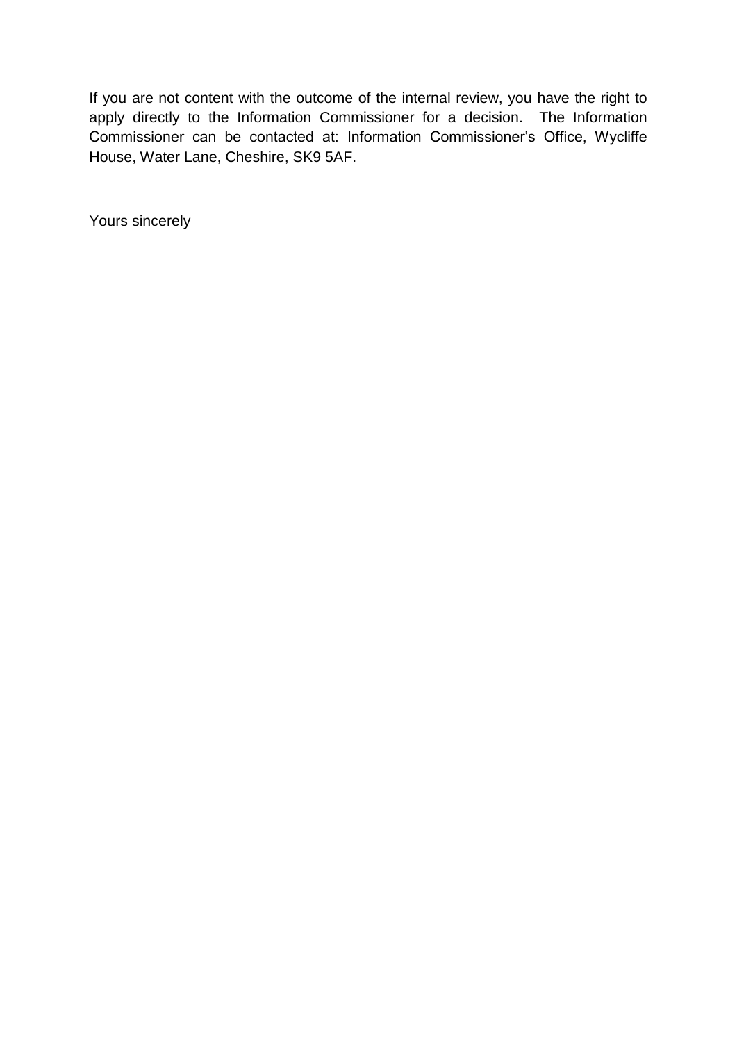If you are not content with the outcome of the internal review, you have the right to apply directly to the Information Commissioner for a decision. The Information Commissioner can be contacted at: Information Commissioner's Office, Wycliffe House, Water Lane, Cheshire, SK9 5AF.

Yours sincerely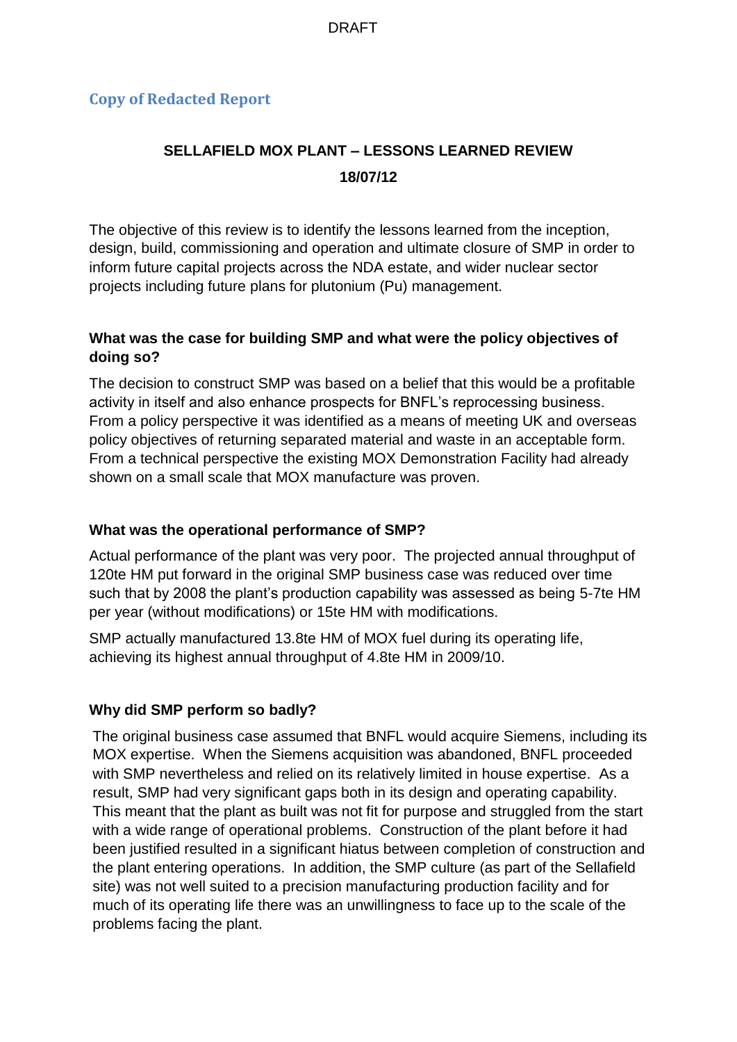# **Copy of Redacted Report**

# **SELLAFIELD MOX PLANT – LESSONS LEARNED REVIEW 18/07/12**

The objective of this review is to identify the lessons learned from the inception, design, build, commissioning and operation and ultimate closure of SMP in order to inform future capital projects across the NDA estate, and wider nuclear sector projects including future plans for plutonium (Pu) management.

### **What was the case for building SMP and what were the policy objectives of doing so?**

The decision to construct SMP was based on a belief that this would be a profitable activity in itself and also enhance prospects for BNFL's reprocessing business. From a policy perspective it was identified as a means of meeting UK and overseas policy objectives of returning separated material and waste in an acceptable form. From a technical perspective the existing MOX Demonstration Facility had already shown on a small scale that MOX manufacture was proven.

#### **What was the operational performance of SMP?**

Actual performance of the plant was very poor. The projected annual throughput of 120te HM put forward in the original SMP business case was reduced over time such that by 2008 the plant's production capability was assessed as being 5-7te HM per year (without modifications) or 15te HM with modifications.

SMP actually manufactured 13.8te HM of MOX fuel during its operating life, achieving its highest annual throughput of 4.8te HM in 2009/10.

#### **Why did SMP perform so badly?**

The original business case assumed that BNFL would acquire Siemens, including its MOX expertise. When the Siemens acquisition was abandoned, BNFL proceeded with SMP nevertheless and relied on its relatively limited in house expertise. As a result, SMP had very significant gaps both in its design and operating capability. This meant that the plant as built was not fit for purpose and struggled from the start with a wide range of operational problems. Construction of the plant before it had been justified resulted in a significant hiatus between completion of construction and the plant entering operations. In addition, the SMP culture (as part of the Sellafield site) was not well suited to a precision manufacturing production facility and for much of its operating life there was an unwillingness to face up to the scale of the problems facing the plant.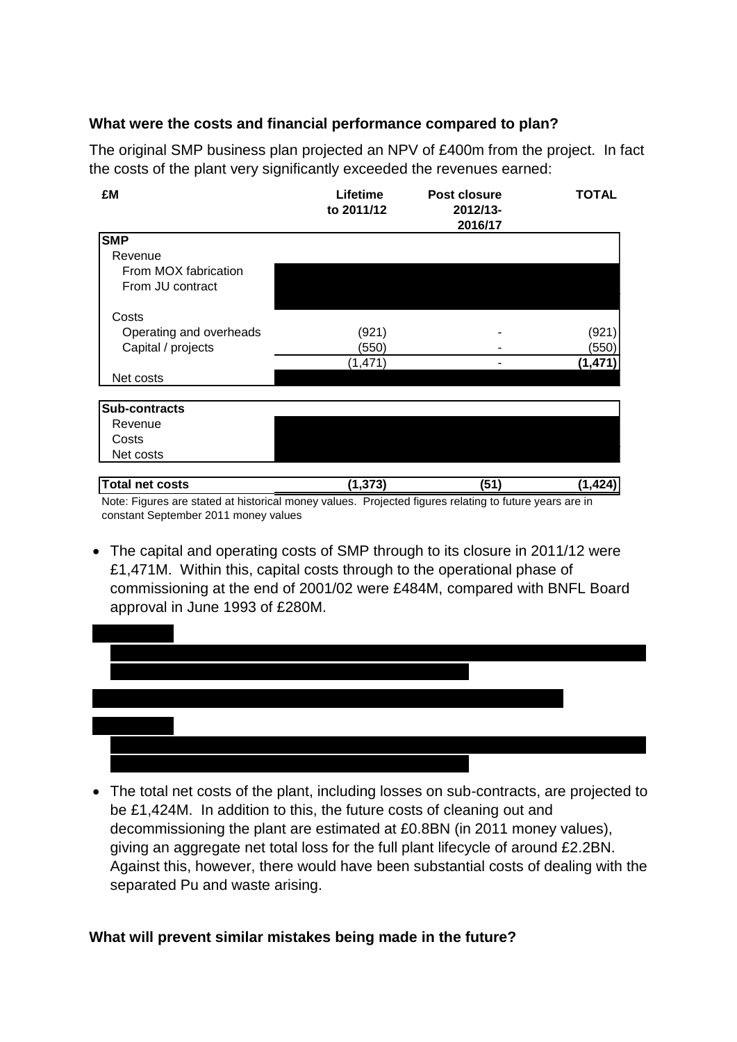## **What were the costs and financial performance compared to plan?**

The original SMP business plan projected an NPV of £400m from the project. In fact the costs of the plant very significantly exceeded the revenues earned:

| £M                      | Lifetime<br>to 2011/12 | <b>Post closure</b><br>2012/13-<br>2016/17 | TOTAL   |
|-------------------------|------------------------|--------------------------------------------|---------|
| <b>SMP</b>              |                        |                                            |         |
| Revenue                 |                        |                                            |         |
| From MOX fabrication    |                        |                                            |         |
| From JU contract        |                        |                                            |         |
| Costs                   |                        |                                            |         |
| Operating and overheads | (921)                  |                                            | (921    |
| Capital / projects      | (550)                  |                                            | (550)   |
|                         | (1,471)                |                                            | (1,471  |
| Net costs               |                        |                                            |         |
| Sub-contracts           |                        |                                            |         |
| Revenue                 |                        |                                            |         |
| Costs                   |                        |                                            |         |
| Net costs               |                        |                                            |         |
| <b>Total net costs</b>  | (1,373)                | (51)                                       | (1.424) |

Note: Figures are stated at historical money values. Projected figures relating to future years are in constant September 2011 money values

 The capital and operating costs of SMP through to its closure in 2011/12 were £1,471M. Within this, capital costs through to the operational phase of commissioning at the end of 2001/02 were £484M, compared with BNFL Board approval in June 1993 of £280M.



 The total net costs of the plant, including losses on sub-contracts, are projected to be £1,424M. In addition to this, the future costs of cleaning out and decommissioning the plant are estimated at £0.8BN (in 2011 money values), giving an aggregate net total loss for the full plant lifecycle of around £2.2BN. Against this, however, there would have been substantial costs of dealing with the separated Pu and waste arising.

#### **What will prevent similar mistakes being made in the future?**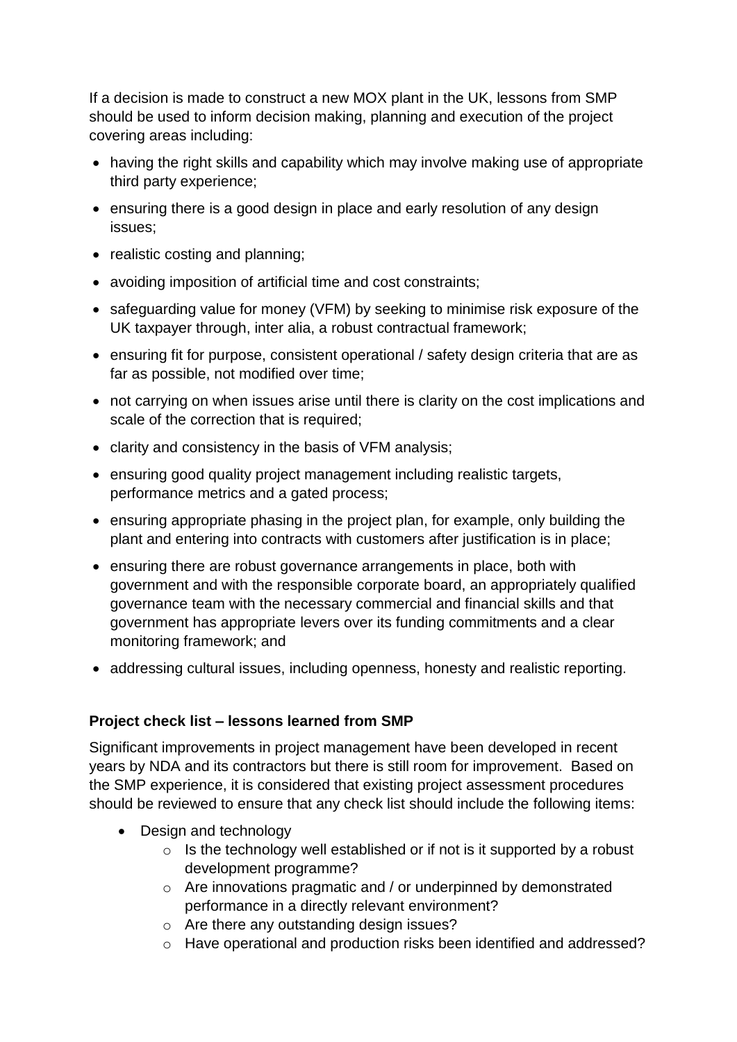If a decision is made to construct a new MOX plant in the UK, lessons from SMP should be used to inform decision making, planning and execution of the project covering areas including:

- having the right skills and capability which may involve making use of appropriate third party experience;
- ensuring there is a good design in place and early resolution of any design issues;
- realistic costing and planning;
- avoiding imposition of artificial time and cost constraints;
- safeguarding value for money (VFM) by seeking to minimise risk exposure of the UK taxpayer through, inter alia, a robust contractual framework;
- ensuring fit for purpose, consistent operational / safety design criteria that are as far as possible, not modified over time;
- not carrying on when issues arise until there is clarity on the cost implications and scale of the correction that is required;
- clarity and consistency in the basis of VFM analysis;
- ensuring good quality project management including realistic targets, performance metrics and a gated process;
- ensuring appropriate phasing in the project plan, for example, only building the plant and entering into contracts with customers after justification is in place;
- ensuring there are robust governance arrangements in place, both with government and with the responsible corporate board, an appropriately qualified governance team with the necessary commercial and financial skills and that government has appropriate levers over its funding commitments and a clear monitoring framework; and
- addressing cultural issues, including openness, honesty and realistic reporting.

## **Project check list – lessons learned from SMP**

Significant improvements in project management have been developed in recent years by NDA and its contractors but there is still room for improvement. Based on the SMP experience, it is considered that existing project assessment procedures should be reviewed to ensure that any check list should include the following items:

- Design and technology
	- $\circ$  Is the technology well established or if not is it supported by a robust development programme?
	- o Are innovations pragmatic and / or underpinned by demonstrated performance in a directly relevant environment?
	- o Are there any outstanding design issues?
	- o Have operational and production risks been identified and addressed?